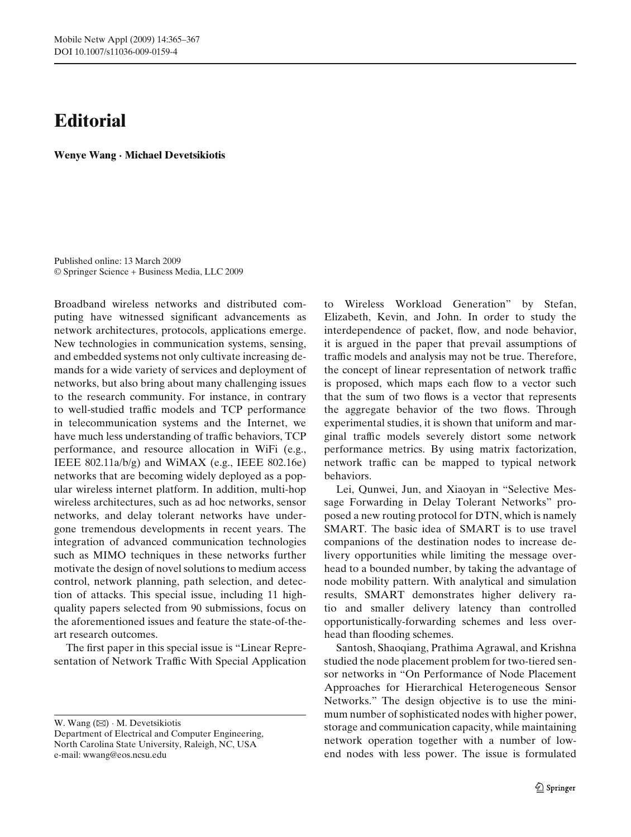## **Editorial**

**Wenye Wang · Michael Devetsikiotis**

Published online: 13 March 2009 © Springer Science + Business Media, LLC 2009

Broadband wireless networks and distributed computing have witnessed significant advancements as network architectures, protocols, applications emerge. New technologies in communication systems, sensing, and embedded systems not only cultivate increasing demands for a wide variety of services and deployment of networks, but also bring about many challenging issues to the research community. For instance, in contrary to well-studied traffic models and TCP performance in telecommunication systems and the Internet, we have much less understanding of traffic behaviors, TCP performance, and resource allocation in WiFi (e.g., IEEE  $802.11a/b/g$ ) and WiMAX (e.g., IEEE  $802.16e$ ) networks that are becoming widely deployed as a popular wireless internet platform. In addition, multi-hop wireless architectures, such as ad hoc networks, sensor networks, and delay tolerant networks have undergone tremendous developments in recent years. The integration of advanced communication technologies such as MIMO techniques in these networks further motivate the design of novel solutions to medium access control, network planning, path selection, and detection of attacks. This special issue, including 11 highquality papers selected from 90 submissions, focus on the aforementioned issues and feature the state-of-theart research outcomes.

The first paper in this special issue is "Linear Representation of Network Traffic With Special Application

W. Wang  $(\boxtimes)$   $\cdot$  M. Devetsikiotis Department of Electrical and Computer Engineering, North Carolina State University, Raleigh, NC, USA e-mail: wwang@eos.ncsu.edu

to Wireless Workload Generation" by Stefan, Elizabeth, Kevin, and John. In order to study the interdependence of packet, flow, and node behavior, it is argued in the paper that prevail assumptions of traffic models and analysis may not be true. Therefore, the concept of linear representation of network traffic is proposed, which maps each flow to a vector such that the sum of two flows is a vector that represents the aggregate behavior of the two flows. Through experimental studies, it is shown that uniform and marginal traffic models severely distort some network performance metrics. By using matrix factorization, network traffic can be mapped to typical network behaviors.

Lei, Qunwei, Jun, and Xiaoyan in "Selective Message Forwarding in Delay Tolerant Networks" proposed a new routing protocol for DTN, which is namely SMART. The basic idea of SMART is to use travel companions of the destination nodes to increase delivery opportunities while limiting the message overhead to a bounded number, by taking the advantage of node mobility pattern. With analytical and simulation results, SMART demonstrates higher delivery ratio and smaller delivery latency than controlled opportunistically-forwarding schemes and less overhead than flooding schemes.

Santosh, Shaoqiang, Prathima Agrawal, and Krishna studied the node placement problem for two-tiered sensor networks in "On Performance of Node Placement Approaches for Hierarchical Heterogeneous Sensor Networks." The design objective is to use the minimum number of sophisticated nodes with higher power, storage and communication capacity, while maintaining network operation together with a number of lowend nodes with less power. The issue is formulated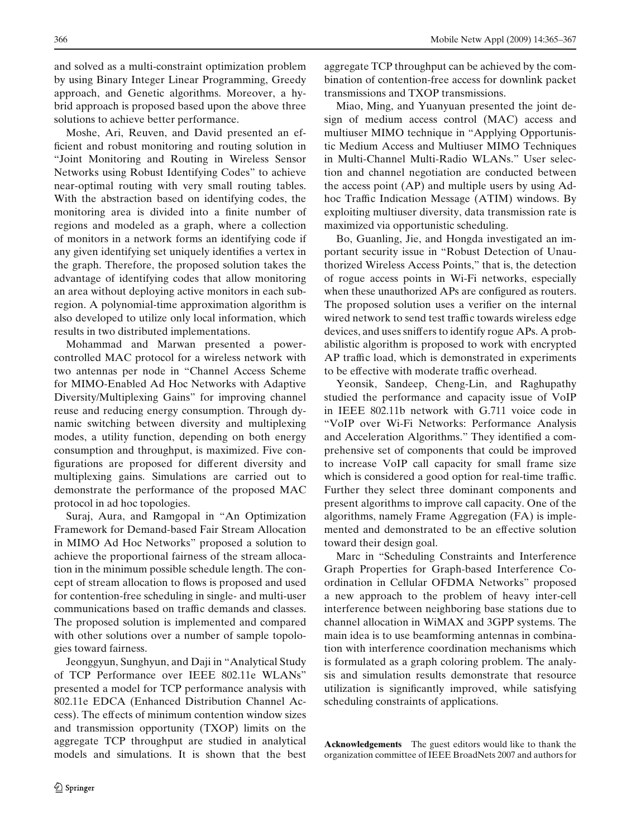and solved as a multi-constraint optimization problem by using Binary Integer Linear Programming, Greedy approach, and Genetic algorithms. Moreover, a hybrid approach is proposed based upon the above three solutions to achieve better performance.

Moshe, Ari, Reuven, and David presented an efficient and robust monitoring and routing solution in "Joint Monitoring and Routing in Wireless Sensor Networks using Robust Identifying Codes" to achieve near-optimal routing with very small routing tables. With the abstraction based on identifying codes, the monitoring area is divided into a finite number of regions and modeled as a graph, where a collection of monitors in a network forms an identifying code if any given identifying set uniquely identifies a vertex in the graph. Therefore, the proposed solution takes the advantage of identifying codes that allow monitoring an area without deploying active monitors in each subregion. A polynomial-time approximation algorithm is also developed to utilize only local information, which results in two distributed implementations.

Mohammad and Marwan presented a powercontrolled MAC protocol for a wireless network with two antennas per node in "Channel Access Scheme for MIMO-Enabled Ad Hoc Networks with Adaptive Diversity/Multiplexing Gains" for improving channel reuse and reducing energy consumption. Through dynamic switching between diversity and multiplexing modes, a utility function, depending on both energy consumption and throughput, is maximized. Five configurations are proposed for different diversity and multiplexing gains. Simulations are carried out to demonstrate the performance of the proposed MAC protocol in ad hoc topologies.

Suraj, Aura, and Ramgopal in "An Optimization Framework for Demand-based Fair Stream Allocation in MIMO Ad Hoc Networks" proposed a solution to achieve the proportional fairness of the stream allocation in the minimum possible schedule length. The concept of stream allocation to flows is proposed and used for contention-free scheduling in single- and multi-user communications based on traffic demands and classes. The proposed solution is implemented and compared with other solutions over a number of sample topologies toward fairness.

Jeonggyun, Sunghyun, and Daji in "Analytical Study of TCP Performance over IEEE 802.11e WLANs" presented a model for TCP performance analysis with 802.11e EDCA (Enhanced Distribution Channel Access). The effects of minimum contention window sizes and transmission opportunity (TXOP) limits on the aggregate TCP throughput are studied in analytical models and simulations. It is shown that the best aggregate TCP throughput can be achieved by the combination of contention-free access for downlink packet transmissions and TXOP transmissions.

Miao, Ming, and Yuanyuan presented the joint design of medium access control (MAC) access and multiuser MIMO technique in "Applying Opportunistic Medium Access and Multiuser MIMO Techniques in Multi-Channel Multi-Radio WLANs." User selection and channel negotiation are conducted between the access point (AP) and multiple users by using Adhoc Traffic Indication Message (ATIM) windows. By exploiting multiuser diversity, data transmission rate is maximized via opportunistic scheduling.

Bo, Guanling, Jie, and Hongda investigated an important security issue in "Robust Detection of Unauthorized Wireless Access Points," that is, the detection of rogue access points in Wi-Fi networks, especially when these unauthorized APs are configured as routers. The proposed solution uses a verifier on the internal wired network to send test traffic towards wireless edge devices, and uses sniffers to identify rogue APs. A probabilistic algorithm is proposed to work with encrypted AP traffic load, which is demonstrated in experiments to be effective with moderate traffic overhead.

Yeonsik, Sandeep, Cheng-Lin, and Raghupathy studied the performance and capacity issue of VoIP in IEEE 802.11b network with G.711 voice code in "VoIP over Wi-Fi Networks: Performance Analysis and Acceleration Algorithms." They identified a comprehensive set of components that could be improved to increase VoIP call capacity for small frame size which is considered a good option for real-time traffic. Further they select three dominant components and present algorithms to improve call capacity. One of the algorithms, namely Frame Aggregation (FA) is implemented and demonstrated to be an effective solution toward their design goal.

Marc in "Scheduling Constraints and Interference Graph Properties for Graph-based Interference Coordination in Cellular OFDMA Networks" proposed a new approach to the problem of heavy inter-cell interference between neighboring base stations due to channel allocation in WiMAX and 3GPP systems. The main idea is to use beamforming antennas in combination with interference coordination mechanisms which is formulated as a graph coloring problem. The analysis and simulation results demonstrate that resource utilization is significantly improved, while satisfying scheduling constraints of applications.

**Acknowledgements** The guest editors would like to thank the organization committee of IEEE BroadNets 2007 and authors for